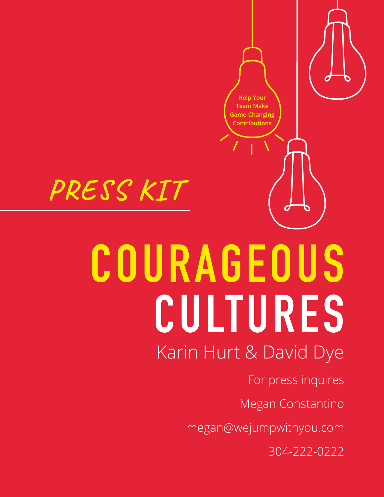

304-222-0222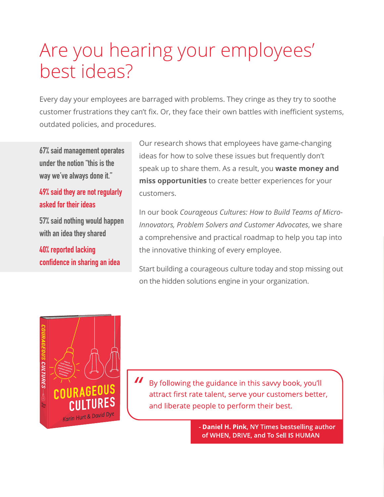## Are you hearing your employees' best ideas?

Every day your employees are barraged with problems. They cringe as they try to soothe customer frustrations they can't fix. Or, they face their own battles with inefficient systems, outdated policies, and procedures.

**67% said management operates under the notion "this is the way we've always done it."**

#### **49% said they are not regularly asked for their ideas**

**57% said nothing would happen with an idea they shared** 

**40% reported lacking confidence in sharing an idea** Our research shows that employees have game-changing ideas for how to solve these issues but frequently don't speak up to share them. As a result, you **waste money and miss opportunities** to create better experiences for your customers.

In our book *Courageous Cultures: How to Build Teams of Micro-Innovators, Problem Solvers and Customer Advocates*, we share a comprehensive and practical roadmap to help you tap into the innovative thinking of every employee.

Start building a courageous culture today and stop missing out on the hidden solutions engine in your organization.



 $\boldsymbol{\mathit{II}}$ By following the guidance in this savvy book, you'll attract first rate talent, serve your customers better, and liberate people to perform their best.

> - Daniel H. Pink, NY Times bestselling author of WHEN, DRIVE, and To Sell IS HUMAN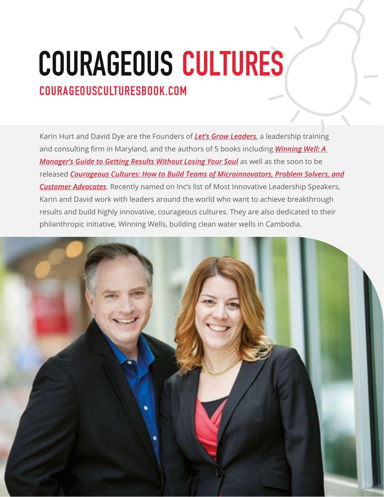# **COURAGEOUS CULTURES**

#### **COURAGEOUSCULTURESBOOK.COM**

Karin Hurt and David Dye are the Founders of *[Let's Grow Leaders](http://letsgrowleaders.com)*, a leadership training and consulting firm in Maryland, and the authors of 5 books including *[Winning Well: A](https://u7061146.ct.sendgrid.net/ls/click?upn=4tNED-2FM8iDZJQyQ53jATUVTF4KOxbqsuSErcl4Z4SAUoLKxf5CQx7WFFEGBSb-2FId5akeuJ7cyiLhkMQ9xON-2FdPUgVwN-2BYtOYVCVOirqTcYNgCOyiNkOJnYYlSZ-2FjplTr4RvKfAxmz97zUkE7x7d8jLpNU4AQPRiXJ8GrCKYX6hbi99s2KCUkK5ktoHExAT-2FXjAjr_O3XWFiAdWrzzrOIt72qAuJnZNb3ptv0dzH1nczuGDhyM9rxeNKXgbkEAEpqHp7rSDhsHKSObws7N7rEmgATIKeGWz2uEXpFydfNnnHdyv9d0Q3661YtizyFZJ5lK9EhmY4qQopLBYIeOM6wgCnK43VbYwxQe0KxQlcTf9aMpf8c9zT7Exc3JsfY3XtiPFmPx7-2Fn1NeYFpHhFbHasck8nC5-2FdlFjZcQwNCU7FIrxwha5luEAQkCvMGAh81-2BKaIZh-2BiSWw6oFp2SBJAGsBI5YKKv-2BYkttv-2FC7ODGNA1IT1zvMc-2BhmwesiBKqSaAmUtdkL16kSRsWAG1iId3-2B9IK9I7K5GYEeR0irAJv3qH0h9Kbck-3D)  [Manager's Guide to Getting Results Without Losing Your Soul](https://u7061146.ct.sendgrid.net/ls/click?upn=4tNED-2FM8iDZJQyQ53jATUVTF4KOxbqsuSErcl4Z4SAUoLKxf5CQx7WFFEGBSb-2FId5akeuJ7cyiLhkMQ9xON-2FdPUgVwN-2BYtOYVCVOirqTcYNgCOyiNkOJnYYlSZ-2FjplTr4RvKfAxmz97zUkE7x7d8jLpNU4AQPRiXJ8GrCKYX6hbi99s2KCUkK5ktoHExAT-2FXjAjr_O3XWFiAdWrzzrOIt72qAuJnZNb3ptv0dzH1nczuGDhyM9rxeNKXgbkEAEpqHp7rSDhsHKSObws7N7rEmgATIKeGWz2uEXpFydfNnnHdyv9d0Q3661YtizyFZJ5lK9EhmY4qQopLBYIeOM6wgCnK43VbYwxQe0KxQlcTf9aMpf8c9zT7Exc3JsfY3XtiPFmPx7-2Fn1NeYFpHhFbHasck8nC5-2FdlFjZcQwNCU7FIrxwha5luEAQkCvMGAh81-2BKaIZh-2BiSWw6oFp2SBJAGsBI5YKKv-2BYkttv-2FC7ODGNA1IT1zvMc-2BhmwesiBKqSaAmUtdkL16kSRsWAG1iId3-2B9IK9I7K5GYEeR0irAJv3qH0h9Kbck-3D)* as well as the soon to be released *[Courageous Cultures: How to Build Teams of Microinnovators, Problem Solvers, and](https://u7061146.ct.sendgrid.net/ls/click?upn=4tNED-2FM8iDZJQyQ53jATUQxZulQnXV-2BCUqlVHriDLxNjDMc7JipVC-2F40Kht0-2B25VSyjAWxs62hVV4kjm5AQkfQmY2YvyzqF7pR6OHHmZpZBjBVi4xGbuiZLsLYFcdplgqvXRrD0g49wEVvko37LceB8vvM7zXeBeGkdB1tIQz8P1FbEkufmdog5Lj1XnUi71126eus9AVGqr1rVpJxBJQlY6MDGRJ2pp6JTZuSLwOiHqMJaoHDFjJRIQrz4C-2FkRqDG8vp0dkrI5lfvrSsCixvXPPHvkNfSdFSef2ZatFlyk-3D4QNq_O3XWFiAdWrzzrOIt72qAuJnZNb3ptv0dzH1nczuGDhyM9rxeNKXgbkEAEpqHp7rSDhsHKSObws7N7rEmgATIKeGWz2uEXpFydfNnnHdyv9d0Q3661YtizyFZJ5lK9EhmY4qQopLBYIeOM6wgCnK43VbYwxQe0KxQlcTf9aMpf8c9zT7Exc3JsfY3XtiPFmPx7-2Fn1NeYFpHhFbHasck8nC2hxzm-2BhXI75N9XcDz8uhNxgx6Gamuq44znOI3j6jBEtq6MnNDWv9sqDg05AbnzDmzNgyOfKbe3Unt4QkdbJvRnZtwsox-2BDCsRQg6dyywRzyOOjc12BwhlrwDhRaoCrn9Z71pvXs9h6NIcVlAnsF6hw-3D) [Customer Advocates](https://u7061146.ct.sendgrid.net/ls/click?upn=4tNED-2FM8iDZJQyQ53jATUQxZulQnXV-2BCUqlVHriDLxNjDMc7JipVC-2F40Kht0-2B25VSyjAWxs62hVV4kjm5AQkfQmY2YvyzqF7pR6OHHmZpZBjBVi4xGbuiZLsLYFcdplgqvXRrD0g49wEVvko37LceB8vvM7zXeBeGkdB1tIQz8P1FbEkufmdog5Lj1XnUi71126eus9AVGqr1rVpJxBJQlY6MDGRJ2pp6JTZuSLwOiHqMJaoHDFjJRIQrz4C-2FkRqDG8vp0dkrI5lfvrSsCixvXPPHvkNfSdFSef2ZatFlyk-3D4QNq_O3XWFiAdWrzzrOIt72qAuJnZNb3ptv0dzH1nczuGDhyM9rxeNKXgbkEAEpqHp7rSDhsHKSObws7N7rEmgATIKeGWz2uEXpFydfNnnHdyv9d0Q3661YtizyFZJ5lK9EhmY4qQopLBYIeOM6wgCnK43VbYwxQe0KxQlcTf9aMpf8c9zT7Exc3JsfY3XtiPFmPx7-2Fn1NeYFpHhFbHasck8nC2hxzm-2BhXI75N9XcDz8uhNxgx6Gamuq44znOI3j6jBEtq6MnNDWv9sqDg05AbnzDmzNgyOfKbe3Unt4QkdbJvRnZtwsox-2BDCsRQg6dyywRzyOOjc12BwhlrwDhRaoCrn9Z71pvXs9h6NIcVlAnsF6hw-3D)*. Recently named on Inc's list of Most Innovative Leadership Speakers, Karin and David work with leaders around the world who want to achieve breakthrough results and build highly innovative, courageous cultures. They are also dedicated to their philanthropic initiative, Winning Wells, building clean water wells in Cambodia.

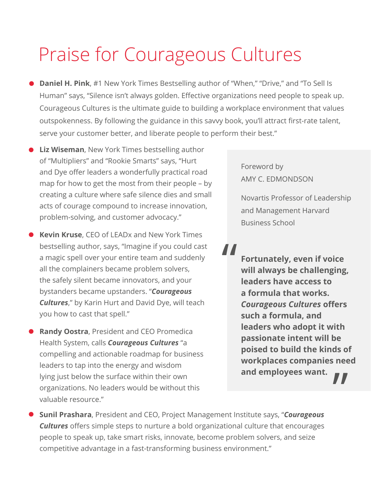## Praise for Courageous Cultures

- **Daniel H. Pink**, #1 New York Times Bestselling author of "When," "Drive," and "To Sell Is Human" says, "Silence isn't always golden. Effective organizations need people to speak up. Courageous Cultures is the ultimate guide to building a workplace environment that values outspokenness. By following the guidance in this savvy book, you'll attract first-rate talent, serve your customer better, and liberate people to perform their best."
- **Liz Wiseman**, New York Times bestselling author of "Multipliers" and "Rookie Smarts" says, "Hurt and Dye offer leaders a wonderfully practical road map for how to get the most from their people – by creating a culture where safe silence dies and small acts of courage compound to increase innovation, problem-solving, and customer advocacy."
- **Kevin Kruse**, CEO of LEADx and New York Times bestselling author, says, "Imagine if you could cast a magic spell over your entire team and suddenly all the complainers became problem solvers, the safely silent became innovators, and your bystanders became upstanders. "*Courageous Cultures*," by Karin Hurt and David Dye, will teach you how to cast that spell."
- **Randy Oostra**, President and CEO Promedica Health System, calls *Courageous Cultures* "a compelling and actionable roadmap for business leaders to tap into the energy and wisdom lying just below the surface within their own organizations. No leaders would be without this valuable resource."

Foreword by AMY C. EDMONDSON

Novartis Professor of Leadership and Management Harvard Business School

**Fortunately, even if voice will always be challenging, leaders have access to a formula that works.**  *Courageous Cultures* **offers such a formula, and leaders who adopt it with passionate intent will be poised to build the kinds of workplaces companies need and employees want.** " "<br>"<br>"

**Sunil Prashara**, President and CEO, Project Management Institute says, "*Courageous Cultures* offers simple steps to nurture a bold organizational culture that encourages people to speak up, take smart risks, innovate, become problem solvers, and seize competitive advantage in a fast-transforming business environment."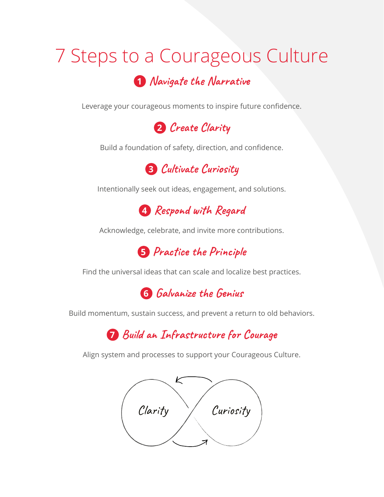## 7 Steps to a Courageous Culture **<sup>1</sup> Navigate the Narrative**

Leverage your courageous moments to inspire future confidence.



Build a foundation of safety, direction, and confidence.



Intentionally seek out ideas, engagement, and solutions.

**<sup>4</sup> Respond with Regard**

Acknowledge, celebrate, and invite more contributions.

**<sup>5</sup> Practice the Principle**

Find the universal ideas that can scale and localize best practices.



Build momentum, sustain success, and prevent a return to old behaviors.

**7 Build an Infrastructure for Courage**

Align system and processes to support your Courageous Culture.

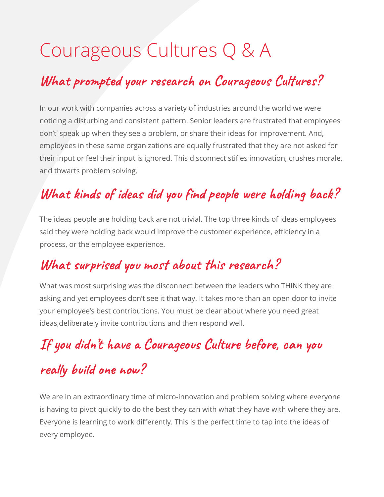## Courageous Cultures Q & A

#### **What prompted your research on Courageous Cultures?**

In our work with companies across a variety of industries around the world we were noticing a disturbing and consistent pattern. Senior leaders are frustrated that employees don't' speak up when they see a problem, or share their ideas for improvement. And, employees in these same organizations are equally frustrated that they are not asked for their input or feel their input is ignored. This disconnect stifles innovation, crushes morale, and thwarts problem solving.

### **What kinds of ideas did you find people were holding back?**

The ideas people are holding back are not trivial. The top three kinds of ideas employees said they were holding back would improve the customer experience, efficiency in a process, or the employee experience.

#### **What surprised you most about this research?**

What was most surprising was the disconnect between the leaders who THINK they are asking and yet employees don't see it that way. It takes more than an open door to invite your employee's best contributions. You must be clear about where you need great ideas,deliberately invite contributions and then respond well.

## **If you didn't have a Courageous Culture before, can you**

#### **really build one now?**

We are in an extraordinary time of micro-innovation and problem solving where everyone is having to pivot quickly to do the best they can with what they have with where they are. Everyone is learning to work differently. This is the perfect time to tap into the ideas of every employee.